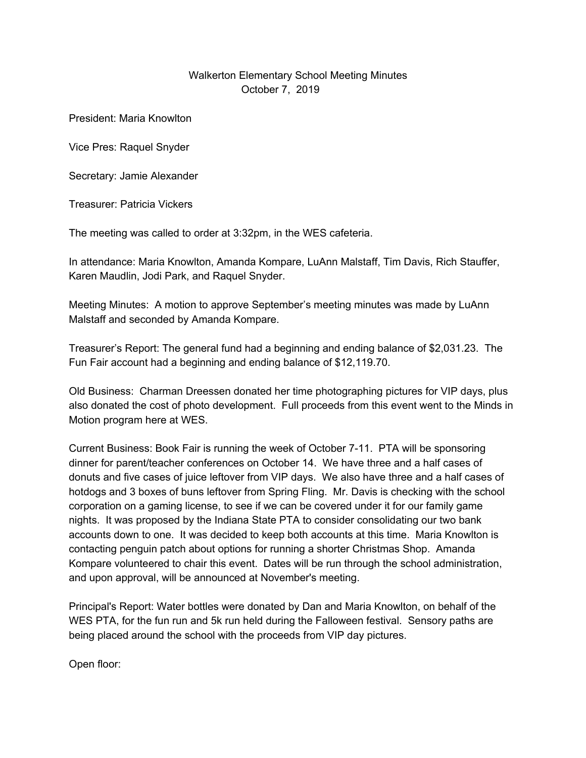## Walkerton Elementary School Meeting Minutes October 7, 2019

President: Maria Knowlton

Vice Pres: Raquel Snyder

Secretary: Jamie Alexander

Treasurer: Patricia Vickers

The meeting was called to order at 3:32pm, in the WES cafeteria.

In attendance: Maria Knowlton, Amanda Kompare, LuAnn Malstaff, Tim Davis, Rich Stauffer, Karen Maudlin, Jodi Park, and Raquel Snyder.

Meeting Minutes: A motion to approve September's meeting minutes was made by LuAnn Malstaff and seconded by Amanda Kompare.

Treasurer's Report: The general fund had a beginning and ending balance of \$2,031.23. The Fun Fair account had a beginning and ending balance of \$12,119.70.

Old Business: Charman Dreessen donated her time photographing pictures for VIP days, plus also donated the cost of photo development. Full proceeds from this event went to the Minds in Motion program here at WES.

Current Business: Book Fair is running the week of October 7-11. PTA will be sponsoring dinner for parent/teacher conferences on October 14. We have three and a half cases of donuts and five cases of juice leftover from VIP days. We also have three and a half cases of hotdogs and 3 boxes of buns leftover from Spring Fling. Mr. Davis is checking with the school corporation on a gaming license, to see if we can be covered under it for our family game nights. It was proposed by the Indiana State PTA to consider consolidating our two bank accounts down to one. It was decided to keep both accounts at this time. Maria Knowlton is contacting penguin patch about options for running a shorter Christmas Shop. Amanda Kompare volunteered to chair this event. Dates will be run through the school administration, and upon approval, will be announced at November's meeting.

Principal's Report: Water bottles were donated by Dan and Maria Knowlton, on behalf of the WES PTA, for the fun run and 5k run held during the Falloween festival. Sensory paths are being placed around the school with the proceeds from VIP day pictures.

Open floor: